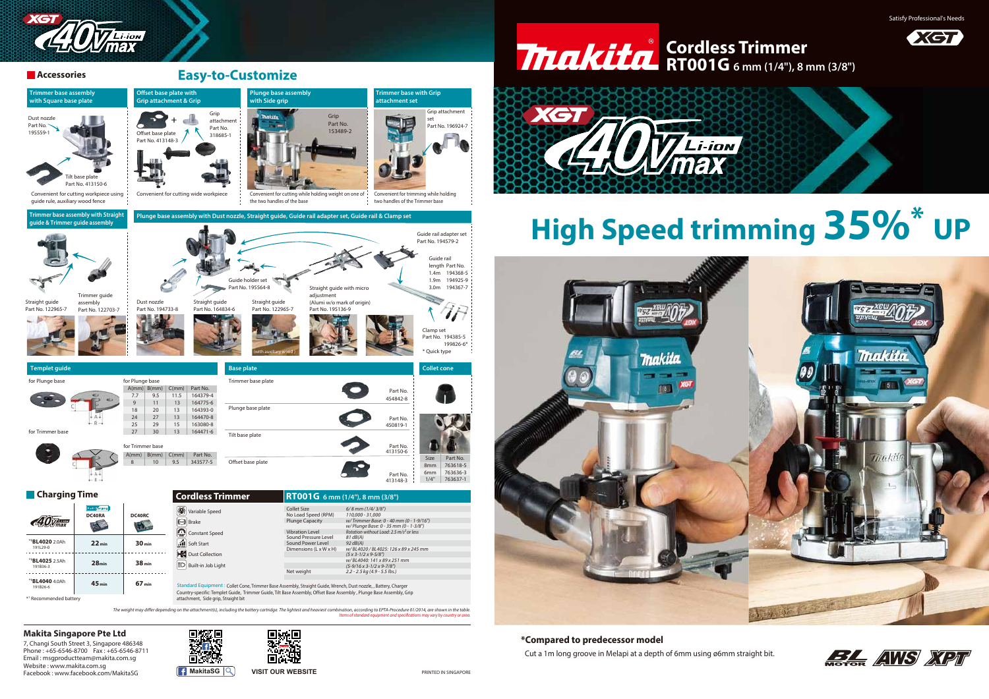

### **Accessories**

199826-6\*



6mm 763636-3

7, Changi South Street 3, Singapore 486348 Phone : +65-6546-8700 Fax : +65-6546-8711 Email : msgproductteam@makita.com.sg Website : www.makita.com.sg Facebook : www.facebook.com/MakitaSG **MakitaSG MakitaSG VISIT OUR WEBSITE** 







**\*Compared to predecessor model** Cut a 1m long groove in Melapi at a depth of 6mm using ø6mm straight bit.

# **High Speed trimming 35%\* UP**



# **RT001G 6 mm (1/4"), 8 mm (3/8")**







### **Makita Singapore Pte Ltd**